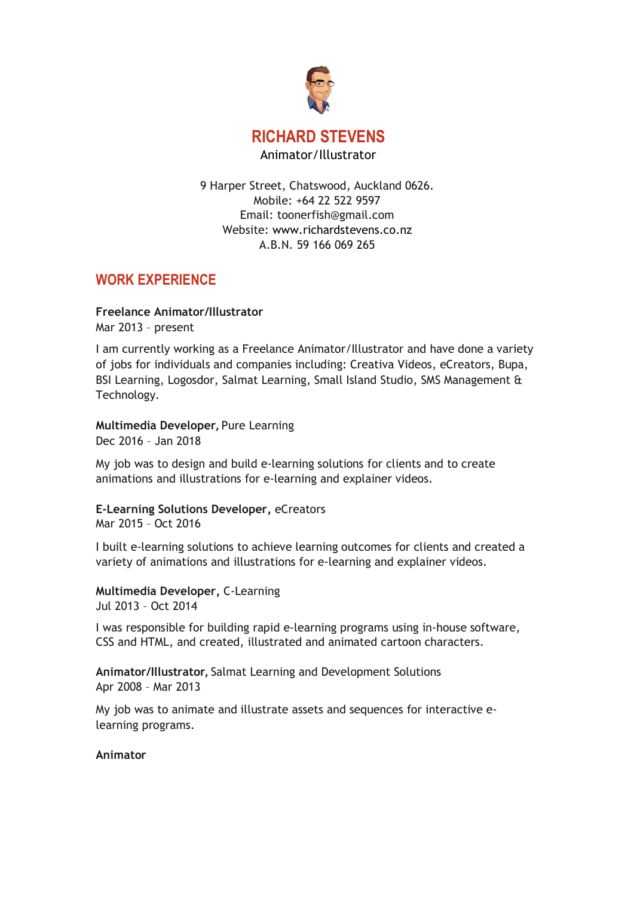

9 Harper Street, Chatswood, Auckland 0626. Mobile: +64 22 522 9597 Email: [toonerfish@gmail.com](mailto:toonerfish@gmail.com) Website: www.richardstevens.co.nz A.B.N. 59 166 069 265

# **WORK EXPERIENCE**

### **Freelance Animator/Illustrator**

Mar 2013 – present

I am currently working as a Freelance Animator/Illustrator and have done a variety of jobs for individuals and companies including: Creativa Videos, eCreators, Bupa, BSI Learning, Logosdor, Salmat Learning, Small Island Studio, SMS Management & Technology.

### **Multimedia Developer,** Pure Learning

Dec 2016 – Jan 2018

My job was to design and build e-learning solutions for clients and to create animations and illustrations for e-learning and explainer videos.

**E-Learning Solutions Developer,** eCreators Mar 2015 – Oct 2016

I built e-learning solutions to achieve learning outcomes for clients and created a variety of animations and illustrations for e-learning and explainer videos.

**Multimedia Developer,** C-Learning Jul 2013 – Oct 2014

I was responsible for building rapid e-learning programs using in-house software, CSS and HTML, and created, illustrated and animated cartoon characters.

**Animator/Illustrator,** Salmat Learning and Development Solutions Apr 2008 – Mar 2013

My job was to animate and illustrate assets and sequences for interactive elearning programs.

#### **Animator**